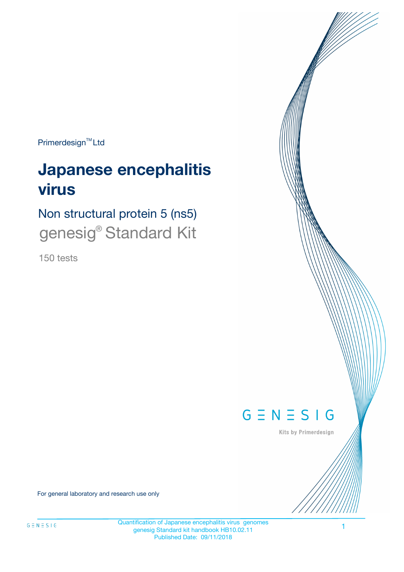Primerdesign<sup>™</sup>Ltd

# **Japanese encephalitis virus**

Non structural protein 5 (ns5) genesig<sup>®</sup> Standard Kit

150 tests



Kits by Primerdesign

For general laboratory and research use only

Quantification of Japanese encephalitis virus genomes genesig Standard kit handbook HB10.02.11 Published Date: 09/11/2018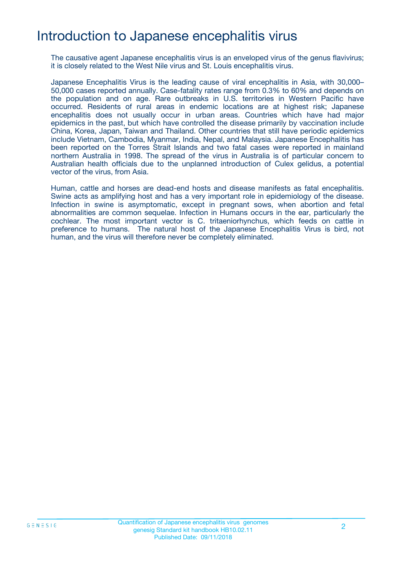## Introduction to Japanese encephalitis virus

The causative agent Japanese encephalitis virus is an enveloped virus of the genus flavivirus; it is closely related to the West Nile virus and St. Louis encephalitis virus.

Japanese Encephalitis Virus is the leading cause of viral encephalitis in Asia, with 30,000– 50,000 cases reported annually. Case-fatality rates range from 0.3% to 60% and depends on the population and on age. Rare outbreaks in U.S. territories in Western Pacific have occurred. Residents of rural areas in endemic locations are at highest risk; Japanese encephalitis does not usually occur in urban areas. Countries which have had major epidemics in the past, but which have controlled the disease primarily by vaccination include China, Korea, Japan, Taiwan and Thailand. Other countries that still have periodic epidemics include Vietnam, Cambodia, Myanmar, India, Nepal, and Malaysia. Japanese Encephalitis has been reported on the Torres Strait Islands and two fatal cases were reported in mainland northern Australia in 1998. The spread of the virus in Australia is of particular concern to Australian health officials due to the unplanned introduction of Culex gelidus, a potential vector of the virus, from Asia.

Human, cattle and horses are dead-end hosts and disease manifests as fatal encephalitis. Swine acts as amplifying host and has a very important role in epidemiology of the disease. Infection in swine is asymptomatic, except in pregnant sows, when abortion and fetal abnormalities are common sequelae. Infection in Humans occurs in the ear, particularly the cochlear. The most important vector is C. tritaeniorhynchus, which feeds on cattle in preference to humans. The natural host of the Japanese Encephalitis Virus is bird, not human, and the virus will therefore never be completely eliminated.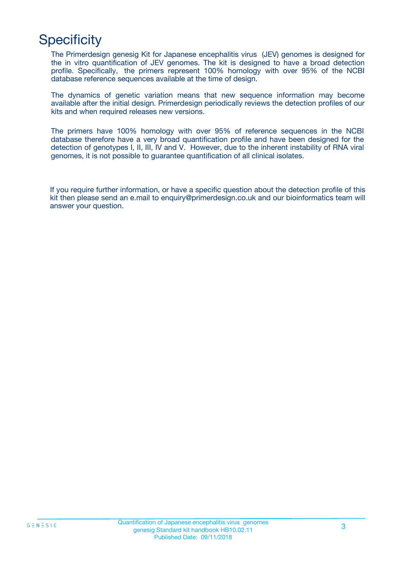## **Specificity**

The Primerdesign genesig Kit for Japanese encephalitis virus (JEV) genomes is designed for the in vitro quantification of JEV genomes. The kit is designed to have a broad detection profile. Specifically, the primers represent 100% homology with over 95% of the NCBI database reference sequences available at the time of design.

The dynamics of genetic variation means that new sequence information may become available after the initial design. Primerdesign periodically reviews the detection profiles of our kits and when required releases new versions.

The primers have 100% homology with over 95% of reference sequences in the NCBI database therefore have a very broad quantification profile and have been designed for the detection of genotypes I, II, III, IV and V. However, due to the inherent instability of RNA viral genomes, it is not possible to guarantee quantification of all clinical isolates.

If you require further information, or have a specific question about the detection profile of this kit then please send an e.mail to enquiry@primerdesign.co.uk and our bioinformatics team will answer your question.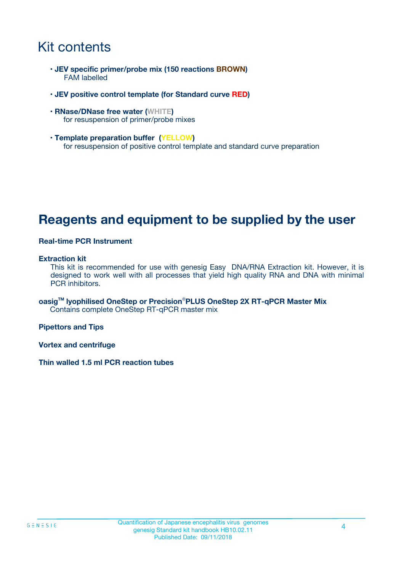## Kit contents

- **JEV specific primer/probe mix (150 reactions BROWN)** FAM labelled
- **JEV positive control template (for Standard curve RED)**
- **RNase/DNase free water (WHITE)** for resuspension of primer/probe mixes
- **Template preparation buffer (YELLOW)** for resuspension of positive control template and standard curve preparation

### **Reagents and equipment to be supplied by the user**

#### **Real-time PCR Instrument**

#### **Extraction kit**

This kit is recommended for use with genesig Easy DNA/RNA Extraction kit. However, it is designed to work well with all processes that yield high quality RNA and DNA with minimal PCR inhibitors.

**oasigTM lyophilised OneStep or Precision**®**PLUS OneStep 2X RT-qPCR Master Mix** Contains complete OneStep RT-qPCR master mix

**Pipettors and Tips**

**Vortex and centrifuge**

**Thin walled 1.5 ml PCR reaction tubes**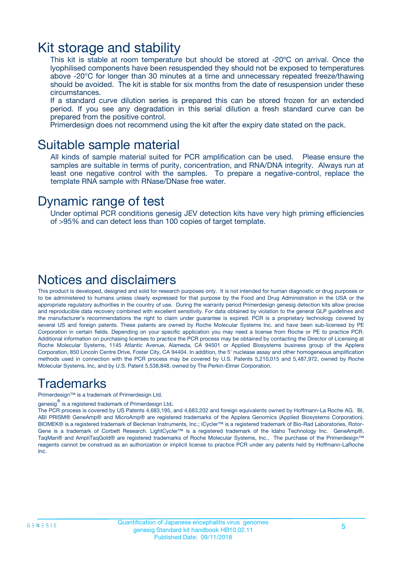### Kit storage and stability

This kit is stable at room temperature but should be stored at -20ºC on arrival. Once the lyophilised components have been resuspended they should not be exposed to temperatures above -20°C for longer than 30 minutes at a time and unnecessary repeated freeze/thawing should be avoided. The kit is stable for six months from the date of resuspension under these circumstances.

If a standard curve dilution series is prepared this can be stored frozen for an extended period. If you see any degradation in this serial dilution a fresh standard curve can be prepared from the positive control.

Primerdesign does not recommend using the kit after the expiry date stated on the pack.

### Suitable sample material

All kinds of sample material suited for PCR amplification can be used. Please ensure the samples are suitable in terms of purity, concentration, and RNA/DNA integrity. Always run at least one negative control with the samples. To prepare a negative-control, replace the template RNA sample with RNase/DNase free water.

### Dynamic range of test

Under optimal PCR conditions genesig JEV detection kits have very high priming efficiencies of >95% and can detect less than 100 copies of target template.

### Notices and disclaimers

This product is developed, designed and sold for research purposes only. It is not intended for human diagnostic or drug purposes or to be administered to humans unless clearly expressed for that purpose by the Food and Drug Administration in the USA or the appropriate regulatory authorities in the country of use. During the warranty period Primerdesign genesig detection kits allow precise and reproducible data recovery combined with excellent sensitivity. For data obtained by violation to the general GLP guidelines and the manufacturer's recommendations the right to claim under guarantee is expired. PCR is a proprietary technology covered by several US and foreign patents. These patents are owned by Roche Molecular Systems Inc. and have been sub-licensed by PE Corporation in certain fields. Depending on your specific application you may need a license from Roche or PE to practice PCR. Additional information on purchasing licenses to practice the PCR process may be obtained by contacting the Director of Licensing at Roche Molecular Systems, 1145 Atlantic Avenue, Alameda, CA 94501 or Applied Biosystems business group of the Applera Corporation, 850 Lincoln Centre Drive, Foster City, CA 94404. In addition, the 5' nuclease assay and other homogeneous amplification methods used in connection with the PCR process may be covered by U.S. Patents 5,210,015 and 5,487,972, owned by Roche Molecular Systems, Inc, and by U.S. Patent 5,538,848, owned by The Perkin-Elmer Corporation.

### Trademarks

Primerdesign™ is a trademark of Primerdesign Ltd.

genesig $^\circledR$  is a registered trademark of Primerdesign Ltd.

The PCR process is covered by US Patents 4,683,195, and 4,683,202 and foreign equivalents owned by Hoffmann-La Roche AG. BI, ABI PRISM® GeneAmp® and MicroAmp® are registered trademarks of the Applera Genomics (Applied Biosystems Corporation). BIOMEK® is a registered trademark of Beckman Instruments, Inc.; iCycler™ is a registered trademark of Bio-Rad Laboratories, Rotor-Gene is a trademark of Corbett Research. LightCycler™ is a registered trademark of the Idaho Technology Inc. GeneAmp®, TaqMan® and AmpliTaqGold® are registered trademarks of Roche Molecular Systems, Inc., The purchase of the Primerdesign™ reagents cannot be construed as an authorization or implicit license to practice PCR under any patents held by Hoffmann-LaRoche Inc.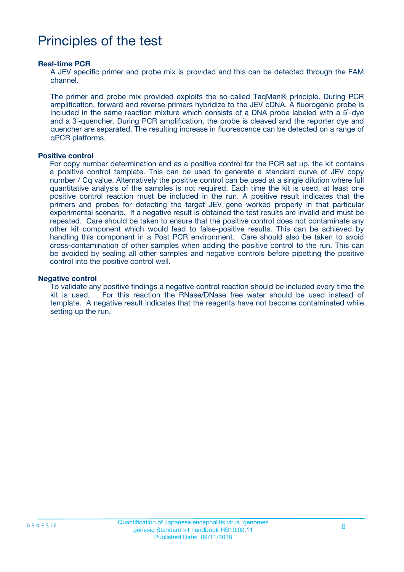## Principles of the test

#### **Real-time PCR**

A JEV specific primer and probe mix is provided and this can be detected through the FAM channel.

The primer and probe mix provided exploits the so-called TaqMan® principle. During PCR amplification, forward and reverse primers hybridize to the JEV cDNA. A fluorogenic probe is included in the same reaction mixture which consists of a DNA probe labeled with a 5`-dye and a 3`-quencher. During PCR amplification, the probe is cleaved and the reporter dye and quencher are separated. The resulting increase in fluorescence can be detected on a range of qPCR platforms.

#### **Positive control**

For copy number determination and as a positive control for the PCR set up, the kit contains a positive control template. This can be used to generate a standard curve of JEV copy number / Cq value. Alternatively the positive control can be used at a single dilution where full quantitative analysis of the samples is not required. Each time the kit is used, at least one positive control reaction must be included in the run. A positive result indicates that the primers and probes for detecting the target JEV gene worked properly in that particular experimental scenario. If a negative result is obtained the test results are invalid and must be repeated. Care should be taken to ensure that the positive control does not contaminate any other kit component which would lead to false-positive results. This can be achieved by handling this component in a Post PCR environment. Care should also be taken to avoid cross-contamination of other samples when adding the positive control to the run. This can be avoided by sealing all other samples and negative controls before pipetting the positive control into the positive control well.

#### **Negative control**

To validate any positive findings a negative control reaction should be included every time the kit is used. For this reaction the RNase/DNase free water should be used instead of template. A negative result indicates that the reagents have not become contaminated while setting up the run.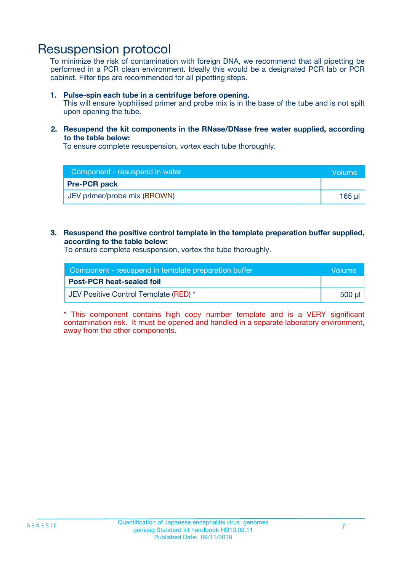### Resuspension protocol

To minimize the risk of contamination with foreign DNA, we recommend that all pipetting be performed in a PCR clean environment. Ideally this would be a designated PCR lab or PCR cabinet. Filter tips are recommended for all pipetting steps.

#### **1. Pulse-spin each tube in a centrifuge before opening.**

This will ensure lyophilised primer and probe mix is in the base of the tube and is not spilt upon opening the tube.

#### **2. Resuspend the kit components in the RNase/DNase free water supplied, according to the table below:**

To ensure complete resuspension, vortex each tube thoroughly.

| Component - resuspend in water | Wolume'     |
|--------------------------------|-------------|
| <b>Pre-PCR pack</b>            |             |
| JEV primer/probe mix (BROWN)   | $165$ $\mu$ |

#### **3. Resuspend the positive control template in the template preparation buffer supplied, according to the table below:**

To ensure complete resuspension, vortex the tube thoroughly.

| Component - resuspend in template preparation buffer |        |
|------------------------------------------------------|--------|
| <b>Post-PCR heat-sealed foil</b>                     |        |
| JEV Positive Control Template (RED) *                | 500 µl |

\* This component contains high copy number template and is a VERY significant contamination risk. It must be opened and handled in a separate laboratory environment, away from the other components.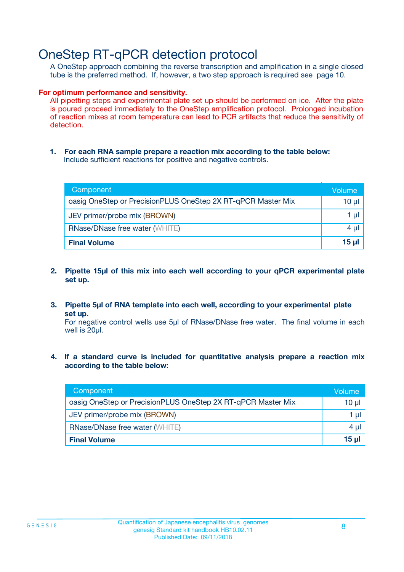### OneStep RT-qPCR detection protocol

A OneStep approach combining the reverse transcription and amplification in a single closed tube is the preferred method. If, however, a two step approach is required see page 10.

#### **For optimum performance and sensitivity.**

All pipetting steps and experimental plate set up should be performed on ice. After the plate is poured proceed immediately to the OneStep amplification protocol. Prolonged incubation of reaction mixes at room temperature can lead to PCR artifacts that reduce the sensitivity of detection.

**1. For each RNA sample prepare a reaction mix according to the table below:** Include sufficient reactions for positive and negative controls.

| Component                                                    | <b>Volume</b> |
|--------------------------------------------------------------|---------------|
| oasig OneStep or PrecisionPLUS OneStep 2X RT-qPCR Master Mix | 10 µl         |
| JEV primer/probe mix (BROWN)                                 | 1 µI          |
| <b>RNase/DNase free water (WHITE)</b>                        | 4 µl          |
| <b>Final Volume</b>                                          | <u>15 µl</u>  |

- **2. Pipette 15µl of this mix into each well according to your qPCR experimental plate set up.**
- **3. Pipette 5µl of RNA template into each well, according to your experimental plate set up.**

For negative control wells use 5µl of RNase/DNase free water. The final volume in each well is 20ul.

**4. If a standard curve is included for quantitative analysis prepare a reaction mix according to the table below:**

| Component                                                    | Volume  |
|--------------------------------------------------------------|---------|
| oasig OneStep or PrecisionPLUS OneStep 2X RT-qPCR Master Mix | 10 µl   |
| JEV primer/probe mix (BROWN)                                 | 1 ul    |
| <b>RNase/DNase free water (WHITE)</b>                        | $4 \mu$ |
| <b>Final Volume</b>                                          | 15 ul   |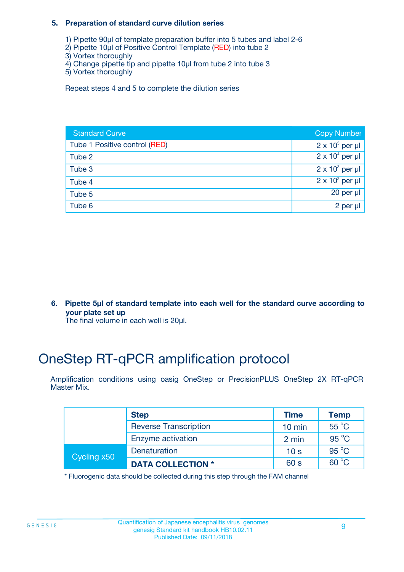#### **5. Preparation of standard curve dilution series**

- 1) Pipette 90µl of template preparation buffer into 5 tubes and label 2-6
- 2) Pipette 10µl of Positive Control Template (RED) into tube 2
- 3) Vortex thoroughly
- 4) Change pipette tip and pipette 10µl from tube 2 into tube 3
- 5) Vortex thoroughly

Repeat steps 4 and 5 to complete the dilution series

| <b>Standard Curve</b>         | <b>Copy Number</b>     |
|-------------------------------|------------------------|
| Tube 1 Positive control (RED) | $2 \times 10^5$ per µl |
| Tube 2                        | $2 \times 10^4$ per µl |
| Tube 3                        | $2 \times 10^3$ per µl |
| Tube 4                        | $2 \times 10^2$ per µl |
| Tube 5                        | 20 per $\mu$           |
| Tube 6                        | 2 per µl               |

**6. Pipette 5µl of standard template into each well for the standard curve according to your plate set up**

The final volume in each well is 20ul.

## OneStep RT-qPCR amplification protocol

Amplification conditions using oasig OneStep or PrecisionPLUS OneStep 2X RT-qPCR Master Mix.

|             | <b>Step</b>                  | <b>Time</b>      | <b>Temp</b>    |
|-------------|------------------------------|------------------|----------------|
|             | <b>Reverse Transcription</b> | $10 \text{ min}$ | $55^{\circ}$ C |
|             | Enzyme activation            | 2 min            | $95^{\circ}$ C |
| Cycling x50 | Denaturation                 | 10 <sub>s</sub>  | $95^{\circ}$ C |
|             | <b>DATA COLLECTION *</b>     | 60 s             | $60^{\circ}$ C |

\* Fluorogenic data should be collected during this step through the FAM channel